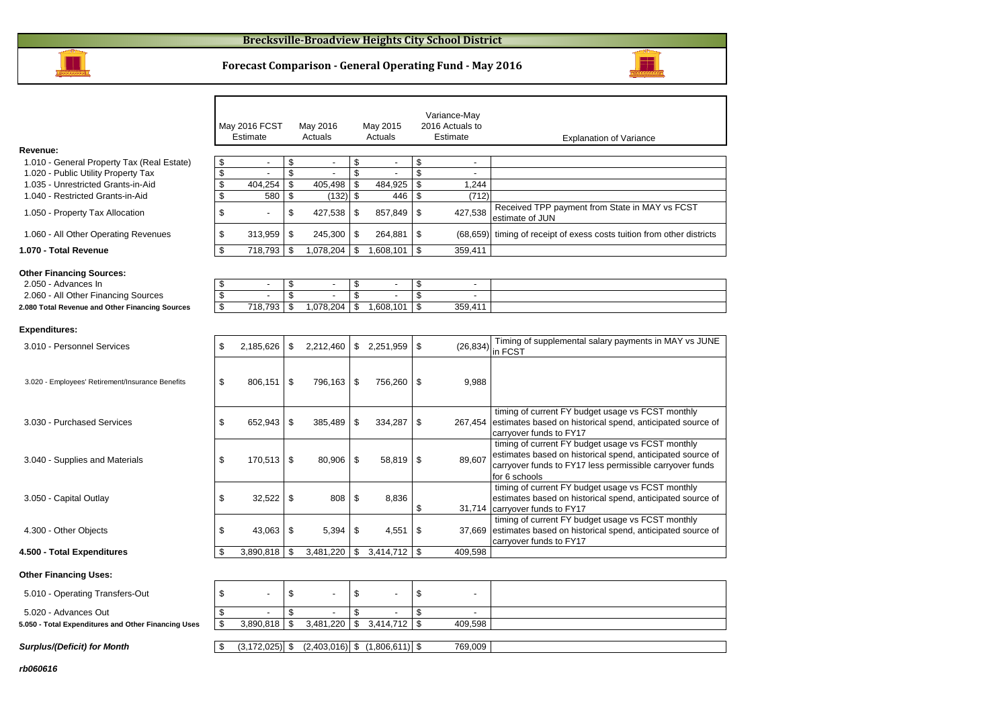

#### **Forecast Comparison - General Operating Fund - May 2016**

| Revenue:                                                                                                                                         |          | May 2016 FCST<br>Estimate |                | May 2016<br>Actuals         |                | May 2015<br>Actuals               |                | Variance-May<br>2016 Actuals to<br>Estimate | <b>Explanation of Variance</b>                                                                                                                                                               |
|--------------------------------------------------------------------------------------------------------------------------------------------------|----------|---------------------------|----------------|-----------------------------|----------------|-----------------------------------|----------------|---------------------------------------------|----------------------------------------------------------------------------------------------------------------------------------------------------------------------------------------------|
| 1.010 - General Property Tax (Real Estate)                                                                                                       | \$       | $\overline{\phantom{a}}$  | \$             | $\overline{\phantom{a}}$    | \$             | $\overline{\phantom{a}}$          | \$             | $\overline{\phantom{a}}$                    |                                                                                                                                                                                              |
| 1.020 - Public Utility Property Tax                                                                                                              | \$       | $\overline{a}$            | \$             | $\overline{a}$              | \$             |                                   | \$             | $\blacksquare$                              |                                                                                                                                                                                              |
| 1.035 - Unrestricted Grants-in-Aid                                                                                                               | \$       | 404.254                   | \$             | 405.498                     | \$             | 484.925                           | \$             | 1.244                                       |                                                                                                                                                                                              |
| 1.040 - Restricted Grants-in-Aid                                                                                                                 | \$       | 580                       | \$             | (132)                       | \$             | 446                               | \$             | (712)                                       |                                                                                                                                                                                              |
| 1.050 - Property Tax Allocation                                                                                                                  | \$       |                           | \$             | 427,538                     | \$             | 857,849                           | \$             | 427,538                                     | Received TPP payment from State in MAY vs FCST<br>estimate of JUN                                                                                                                            |
| 1.060 - All Other Operating Revenues                                                                                                             | \$       | 313,959                   | \$             | 245,300                     | \$             | 264,881                           | \$             | (68, 659)                                   | timing of receipt of exess costs tuition from other districts                                                                                                                                |
| 1.070 - Total Revenue                                                                                                                            | \$       | 718,793                   | \$             | 1,078,204                   | \$             | 1,608,101                         | \$             | 359,411                                     |                                                                                                                                                                                              |
| <b>Other Financing Sources:</b><br>2.050 - Advances In<br>2.060 - All Other Financing Sources<br>2.080 Total Revenue and Other Financing Sources | \$<br>\$ | $\overline{a}$<br>718,793 | \$<br>\$<br>\$ | $\overline{a}$<br>1,078,204 | \$<br>\$<br>\$ | 1,608,101                         | \$<br>\$<br>\$ | 359,411                                     |                                                                                                                                                                                              |
| <b>Expenditures:</b>                                                                                                                             |          |                           |                |                             |                |                                   |                |                                             |                                                                                                                                                                                              |
| 3.010 - Personnel Services                                                                                                                       | \$       | 2,185,626                 | \$             | 2,212,460                   |                | \$2,251,959                       | \$             | (26, 834)                                   | Timing of supplemental salary payments in MAY vs JUNE<br>in FCST                                                                                                                             |
| 3.020 - Employees' Retirement/Insurance Benefits                                                                                                 | \$       | 806,151                   | \$             | 796,163                     | \$             | 756,260                           | \$             | 9,988                                       |                                                                                                                                                                                              |
| 3.030 - Purchased Services                                                                                                                       | \$       | 652,943                   | \$             | 385,489                     | \$             | 334,287                           | \$             | 267,454                                     | timing of current FY budget usage vs FCST monthly<br>estimates based on historical spend, anticipated source of<br>carryover funds to FY17                                                   |
| 3.040 - Supplies and Materials                                                                                                                   | \$       | 170,513                   | \$             | 80,906                      | \$             | 58,819                            | \$             | 89.607                                      | timing of current FY budget usage vs FCST monthly<br>estimates based on historical spend, anticipated source of<br>carryover funds to FY17 less permissible carryover funds<br>for 6 schools |
| 3.050 - Capital Outlay                                                                                                                           | \$       | 32,522                    | \$             | 808                         | \$             | 8,836                             | \$             | 31,714                                      | timing of current FY budget usage vs FCST monthly<br>estimates based on historical spend, anticipated source of<br>carryover funds to FY17                                                   |
| 4.300 - Other Objects                                                                                                                            | \$       | 43,063                    | \$             | 5,394                       | \$             | 4,551                             | \$             | 37,669                                      | timing of current FY budget usage vs FCST monthly<br>estimates based on historical spend, anticipated source of<br>carryover funds to FY17                                                   |
| 4.500 - Total Expenditures                                                                                                                       | \$.      | 3,890,818                 | -\$            | $3,481,220$ \$              |                | 3,414,712                         | - \$           | 409.598                                     |                                                                                                                                                                                              |
| <b>Other Financing Uses:</b>                                                                                                                     |          |                           |                |                             |                |                                   |                |                                             |                                                                                                                                                                                              |
| 5.010 - Operating Transfers-Out                                                                                                                  | \$       |                           | \$             |                             | \$             |                                   | \$             |                                             |                                                                                                                                                                                              |
| 5.020 - Advances Out                                                                                                                             | \$       |                           | \$             |                             | \$             |                                   | \$             | $\overline{a}$                              |                                                                                                                                                                                              |
| 5.050 - Total Expenditures and Other Financing Uses                                                                                              | \$       | 3,890,818                 | \$             | 3,481,220                   | \$             | 3,414,712                         | - \$           | 409,598                                     |                                                                                                                                                                                              |
| <b>Surplus/(Deficit) for Month</b>                                                                                                               | \$       | $(3, 172, 025)$ \$        |                |                             |                | $(2,403,016)$ \$ $(1,806,611)$ \$ |                | 769,009                                     |                                                                                                                                                                                              |

**rb060616**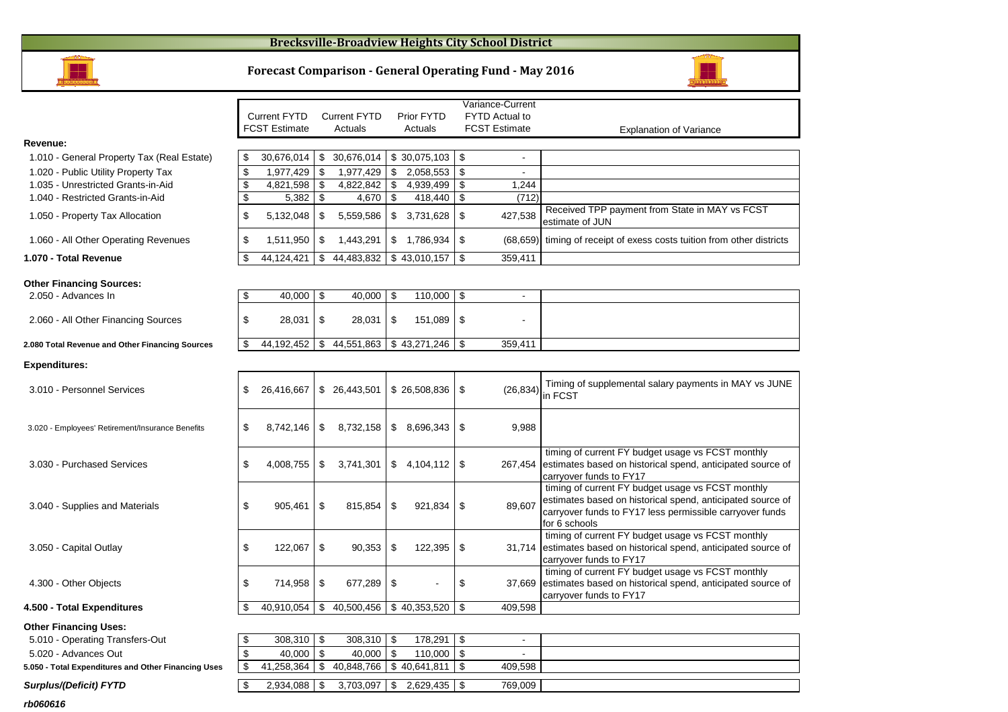#### **Brecksville-Broadview Heights City School District**



#### **Forecast Comparison - General Operating Fund - May 2016**



**rb060616**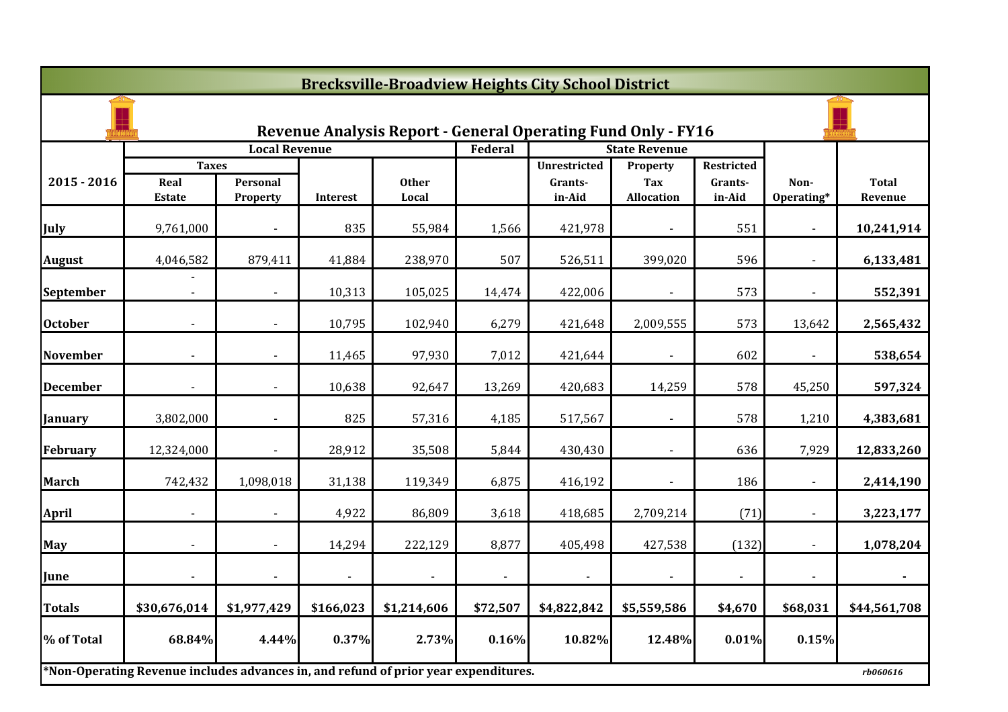|                  | <b>Brecksville-Broadview Heights City School District</b>                           |                      |                |                                                                     |                |                     |                                 |                          |                    |                         |  |  |
|------------------|-------------------------------------------------------------------------------------|----------------------|----------------|---------------------------------------------------------------------|----------------|---------------------|---------------------------------|--------------------------|--------------------|-------------------------|--|--|
|                  |                                                                                     |                      |                | <b>Revenue Analysis Report - General Operating Fund Only - FY16</b> |                |                     |                                 |                          |                    |                         |  |  |
|                  |                                                                                     | <b>Local Revenue</b> |                |                                                                     | Federal        |                     | <b>State Revenue</b>            |                          |                    |                         |  |  |
|                  | <b>Taxes</b>                                                                        |                      |                |                                                                     |                | <b>Unrestricted</b> | Property                        | Restricted               |                    |                         |  |  |
| $2015 - 2016$    | Real<br>Estate                                                                      | Personal<br>Property | Interest       | <b>Other</b><br>Local                                               |                | Grants-<br>in-Aid   | <b>Tax</b><br><b>Allocation</b> | Grants-<br>in-Aid        | Non-<br>Operating* | <b>Total</b><br>Revenue |  |  |
| July             | 9,761,000                                                                           |                      | 835            | 55,984                                                              | 1,566          | 421,978             |                                 | 551                      |                    | 10,241,914              |  |  |
| <b>August</b>    | 4,046,582                                                                           | 879,411              | 41,884         | 238,970                                                             | 507            | 526,511             | 399,020                         | 596                      |                    | 6,133,481               |  |  |
| <b>September</b> | $\blacksquare$                                                                      | $\blacksquare$       | 10,313         | 105,025                                                             | 14,474         | 422,006             | $\blacksquare$                  | 573                      | $\blacksquare$     | 552,391                 |  |  |
| <b>October</b>   |                                                                                     |                      | 10,795         | 102,940                                                             | 6,279          | 421,648             | 2,009,555                       | 573                      | 13,642             | 2,565,432               |  |  |
| <b>November</b>  |                                                                                     |                      | 11,465         | 97,930                                                              | 7,012          | 421,644             |                                 | 602                      |                    | 538,654                 |  |  |
| <b>December</b>  |                                                                                     |                      | 10,638         | 92,647                                                              | 13,269         | 420,683             | 14,259                          | 578                      | 45,250             | 597,324                 |  |  |
| <b>January</b>   | 3,802,000                                                                           |                      | 825            | 57,316                                                              | 4,185          | 517,567             | $\blacksquare$                  | 578                      | 1,210              | 4,383,681               |  |  |
| <b>February</b>  | 12,324,000                                                                          |                      | 28,912         | 35,508                                                              | 5,844          | 430,430             | $\blacksquare$                  | 636                      | 7,929              | 12,833,260              |  |  |
| <b>March</b>     | 742,432                                                                             | 1,098,018            | 31,138         | 119,349                                                             | 6,875          | 416,192             |                                 | 186                      |                    | 2,414,190               |  |  |
| <b>April</b>     |                                                                                     |                      | 4,922          | 86,809                                                              | 3,618          | 418,685             | 2,709,214                       | (71)                     |                    | 3,223,177               |  |  |
| <b>May</b>       |                                                                                     |                      | 14,294         | 222,129                                                             | 8,877          | 405,498             | 427,538                         | (132)                    |                    | 1,078,204               |  |  |
| June             |                                                                                     | $\blacksquare$       | $\blacksquare$ |                                                                     | $\blacksquare$ | $\blacksquare$      | $\blacksquare$                  | $\overline{\phantom{0}}$ |                    | $\blacksquare$          |  |  |
| <b>Totals</b>    | \$30,676,014                                                                        | \$1,977,429          | \$166,023      | \$1,214,606                                                         | \$72,507       | \$4,822,842         | \$5,559,586                     | \$4,670                  | \$68,031           | \$44,561,708            |  |  |
| % of Total       | 68.84%                                                                              | 4.44%                | 0.37%          | 2.73%                                                               | 0.16%          | 10.82%              | 12.48%                          | 0.01%                    | 0.15%              |                         |  |  |
|                  | *Non-Operating Revenue includes advances in, and refund of prior year expenditures. |                      |                |                                                                     |                |                     |                                 |                          |                    | rb060616                |  |  |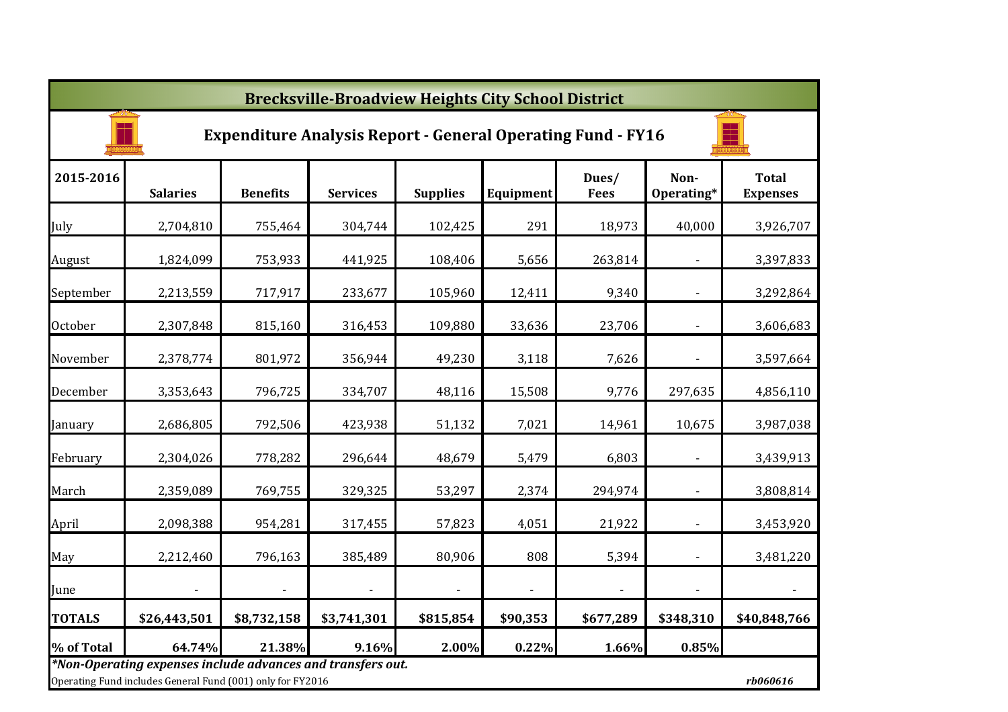|               | <b>Brecksville-Broadview Heights City School District</b>                                                                             |                          |                          |                 |                          |                      |                          |                                 |  |  |  |
|---------------|---------------------------------------------------------------------------------------------------------------------------------------|--------------------------|--------------------------|-----------------|--------------------------|----------------------|--------------------------|---------------------------------|--|--|--|
|               | <b>Expenditure Analysis Report - General Operating Fund - FY16</b>                                                                    |                          |                          |                 |                          |                      |                          |                                 |  |  |  |
| 2015-2016     | <b>Salaries</b>                                                                                                                       | <b>Benefits</b>          | <b>Services</b>          | <b>Supplies</b> | Equipment                | Dues/<br><b>Fees</b> | Non-<br>Operating*       | <b>Total</b><br><b>Expenses</b> |  |  |  |
| July          | 2,704,810                                                                                                                             | 755,464                  | 304,744                  | 102,425         | 291                      | 18,973               | 40,000                   | 3,926,707                       |  |  |  |
| August        | 1,824,099                                                                                                                             | 753,933                  | 441,925                  | 108,406         | 5,656                    | 263,814              |                          | 3,397,833                       |  |  |  |
| September     | 2,213,559                                                                                                                             | 717,917                  | 233,677                  | 105,960         | 12,411                   | 9,340                |                          | 3,292,864                       |  |  |  |
| October       | 2,307,848                                                                                                                             | 815,160                  | 316,453                  | 109,880         | 33,636                   | 23,706               | $\blacksquare$           | 3,606,683                       |  |  |  |
| November      | 2,378,774                                                                                                                             | 801,972                  | 356,944                  | 49,230          | 3,118                    | 7,626                | ÷,                       | 3,597,664                       |  |  |  |
| December      | 3,353,643                                                                                                                             | 796,725                  | 334,707                  | 48,116          | 15,508                   | 9,776                | 297,635                  | 4,856,110                       |  |  |  |
| January       | 2,686,805                                                                                                                             | 792,506                  | 423,938                  | 51,132          | 7,021                    | 14,961               | 10,675                   | 3,987,038                       |  |  |  |
| February      | 2,304,026                                                                                                                             | 778,282                  | 296,644                  | 48,679          | 5,479                    | 6,803                | $\overline{\phantom{a}}$ | 3,439,913                       |  |  |  |
| March         | 2,359,089                                                                                                                             | 769,755                  | 329,325                  | 53,297          | 2,374                    | 294,974              | $\blacksquare$           | 3,808,814                       |  |  |  |
| April         | 2,098,388                                                                                                                             | 954,281                  | 317,455                  | 57,823          | 4,051                    | 21,922               | ÷,                       | 3,453,920                       |  |  |  |
| May           | 2,212,460                                                                                                                             | 796,163                  | 385,489                  | 80,906          | 808                      | 5,394                | ÷,                       | 3,481,220                       |  |  |  |
| June          |                                                                                                                                       | $\overline{\phantom{a}}$ | $\overline{\phantom{a}}$ | $\sim$          | $\overline{\phantom{a}}$ | $\sim$               |                          | $\blacksquare$                  |  |  |  |
| <b>TOTALS</b> | \$26,443,501                                                                                                                          | \$8,732,158              | \$3,741,301              | \$815,854       | \$90,353                 | \$677,289            | \$348,310                | \$40,848,766                    |  |  |  |
| % of Total    | 64.74%                                                                                                                                | 21.38%                   | 9.16%                    | 2.00%           | 0.22%                    | 1.66%                | 0.85%                    |                                 |  |  |  |
|               | *Non-Operating expenses include advances and transfers out.<br>Operating Fund includes General Fund (001) only for FY2016<br>rb060616 |                          |                          |                 |                          |                      |                          |                                 |  |  |  |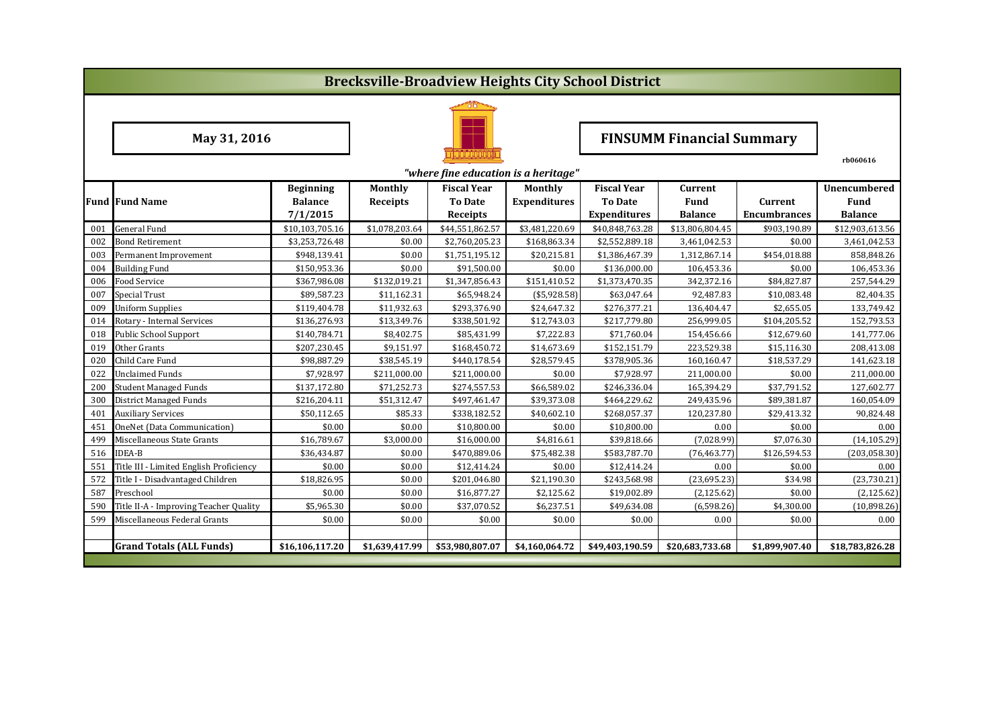|     | <b>Brecksville-Broadview Heights City School District</b> |                  |                 |                                      |                     |                     |                                  |                     |                     |  |  |
|-----|-----------------------------------------------------------|------------------|-----------------|--------------------------------------|---------------------|---------------------|----------------------------------|---------------------|---------------------|--|--|
|     |                                                           |                  |                 |                                      |                     |                     |                                  |                     |                     |  |  |
|     | May 31, 2016                                              |                  |                 |                                      |                     |                     | <b>FINSUMM Financial Summary</b> |                     |                     |  |  |
|     |                                                           |                  |                 | "where fine education is a heritage" |                     |                     |                                  |                     | rb060616            |  |  |
|     |                                                           | <b>Beginning</b> | Monthly         | <b>Fiscal Year</b>                   | Monthly             | <b>Fiscal Year</b>  | Current                          |                     | <b>Unencumbered</b> |  |  |
|     | <b>Fund Fund Name</b>                                     | <b>Balance</b>   | <b>Receipts</b> | To Date                              | <b>Expenditures</b> | <b>To Date</b>      | <b>Fund</b>                      | Current             | <b>Fund</b>         |  |  |
|     |                                                           | 7/1/2015         |                 | Receipts                             |                     | <b>Expenditures</b> | <b>Balance</b>                   | <b>Encumbrances</b> | <b>Balance</b>      |  |  |
| 001 | <b>General Fund</b>                                       | \$10,103,705.16  | \$1,078,203.64  | \$44,551,862.57                      | \$3,481,220.69      | \$40,848,763.28     | \$13,806,804.45                  | \$903,190.89        | \$12,903,613.56     |  |  |
| 002 | <b>Bond Retirement</b>                                    | \$3,253,726.48   | \$0.00          | \$2,760,205.23                       | \$168,863.34        | \$2,552,889.18      | 3,461,042.53                     | \$0.00              | 3,461,042.53        |  |  |
| 003 | Permanent Improvement                                     | \$948,139.41     | \$0.00          | \$1,751,195.12                       | \$20,215.81         | \$1,386,467.39      | 1,312,867.14                     | \$454,018.88        | 858.848.26          |  |  |
| 004 | <b>Building Fund</b>                                      | \$150,953.36     | \$0.00          | \$91,500.00                          | \$0.00              | \$136,000.00        | 106,453.36                       | \$0.00              | 106,453.36          |  |  |
| 006 | Food Service                                              | \$367,986.08     | \$132,019.21    | \$1,347,856.43                       | \$151,410.52        | \$1,373,470.35      | 342,372.16                       | \$84,827.87         | 257,544.29          |  |  |
| 007 | Special Trust                                             | \$89,587.23      | \$11,162.31     | \$65,948.24                          | (\$5,928.58)        | \$63,047.64         | 92,487.83                        | \$10,083.48         | 82,404.35           |  |  |
| 009 | <b>Uniform Supplies</b>                                   | \$119,404.78     | \$11,932.63     | \$293,376.90                         | \$24,647.32         | \$276,377.21        | 136,404.47                       | \$2,655.05          | 133,749.42          |  |  |
| 014 | Rotary - Internal Services                                | \$136,276.93     | \$13,349.76     | \$338,501.92                         | \$12,743.03         | \$217,779.80        | 256,999.05                       | \$104,205.52        | 152,793.53          |  |  |
| 018 | <b>Public School Support</b>                              | \$140,784.71     | \$8,402.75      | \$85,431.99                          | \$7,222.83          | \$71,760.04         | 154,456.66                       | \$12,679.60         | 141,777.06          |  |  |
| 019 | Other Grants                                              | \$207,230.45     | \$9,151.97      | \$168,450.72                         | \$14,673.69         | \$152,151.79        | 223,529.38                       | \$15,116.30         | 208,413.08          |  |  |
| 020 | Child Care Fund                                           | \$98,887.29      | \$38,545.19     | \$440,178.54                         | \$28,579.45         | \$378,905.36        | 160,160.47                       | \$18,537.29         | 141,623.18          |  |  |
| 022 | <b>Unclaimed Funds</b>                                    | \$7,928.97       | \$211,000.00    | \$211,000.00                         | \$0.00              | \$7,928.97          | 211,000.00                       | \$0.00              | 211,000.00          |  |  |
| 200 | <b>Student Managed Funds</b>                              | \$137,172.80     | \$71,252.73     | \$274,557.53                         | \$66,589.02         | \$246,336.04        | 165,394.29                       | \$37,791.52         | 127,602.77          |  |  |
| 300 | <b>District Managed Funds</b>                             | \$216,204.11     | \$51,312.47     | \$497,461.47                         | \$39,373.08         | \$464,229.62        | 249,435.96                       | \$89,381.87         | 160,054.09          |  |  |
| 401 | <b>Auxiliary Services</b>                                 | \$50,112.65      | \$85.33         | \$338,182.52                         | \$40,602.10         | \$268,057.37        | 120,237.80                       | \$29,413.32         | 90,824.48           |  |  |
| 451 | OneNet (Data Communication)                               | \$0.00           | \$0.00          | \$10,800.00                          | \$0.00              | \$10,800.00         | 0.00                             | \$0.00              | 0.00                |  |  |
| 499 | Miscellaneous State Grants                                | \$16,789.67      | \$3,000.00      | \$16,000.00                          | \$4,816.61          | \$39,818.66         | (7,028.99)                       | \$7,076.30          | (14, 105.29)        |  |  |
| 516 | <b>IDEA-B</b>                                             | \$36,434.87      | \$0.00          | \$470,889.06                         | \$75,482.38         | \$583,787.70        | (76, 463.77)                     | \$126,594.53        | (203, 058.30)       |  |  |
| 551 | Title III - Limited English Proficiency                   | \$0.00           | \$0.00          | \$12,414.24                          | \$0.00              | \$12,414.24         | 0.00                             | \$0.00              | 0.00                |  |  |
| 572 | Title I - Disadvantaged Children                          | \$18,826.95      | \$0.00          | \$201,046.80                         | \$21,190.30         | \$243,568.98        | (23, 695.23)                     | \$34.98             | (23, 730.21)        |  |  |
| 587 | Preschool                                                 | \$0.00           | \$0.00          | \$16,877.27                          | \$2,125.62          | \$19,002.89         | (2, 125.62)                      | \$0.00              | (2, 125.62)         |  |  |
| 590 | Title II-A - Improving Teacher Quality                    | \$5,965.30       | \$0.00          | \$37,070.52                          | \$6,237.51          | \$49,634.08         | (6,598.26)                       | \$4,300.00          | (10,898.26)         |  |  |
| 599 | Miscellaneous Federal Grants                              | \$0.00           | \$0.00          | \$0.00                               | \$0.00              | \$0.00              | 0.00                             | \$0.00              | 0.00                |  |  |
|     |                                                           |                  |                 |                                      |                     |                     |                                  |                     |                     |  |  |
|     | <b>Grand Totals (ALL Funds)</b>                           | \$16,106,117.20  | \$1,639,417.99  | \$53,980,807.07                      | \$4,160,064.72      | \$49,403,190.59     | \$20,683,733.68                  | \$1,899,907.40      | \$18,783,826.28     |  |  |
|     |                                                           |                  |                 |                                      |                     |                     |                                  |                     |                     |  |  |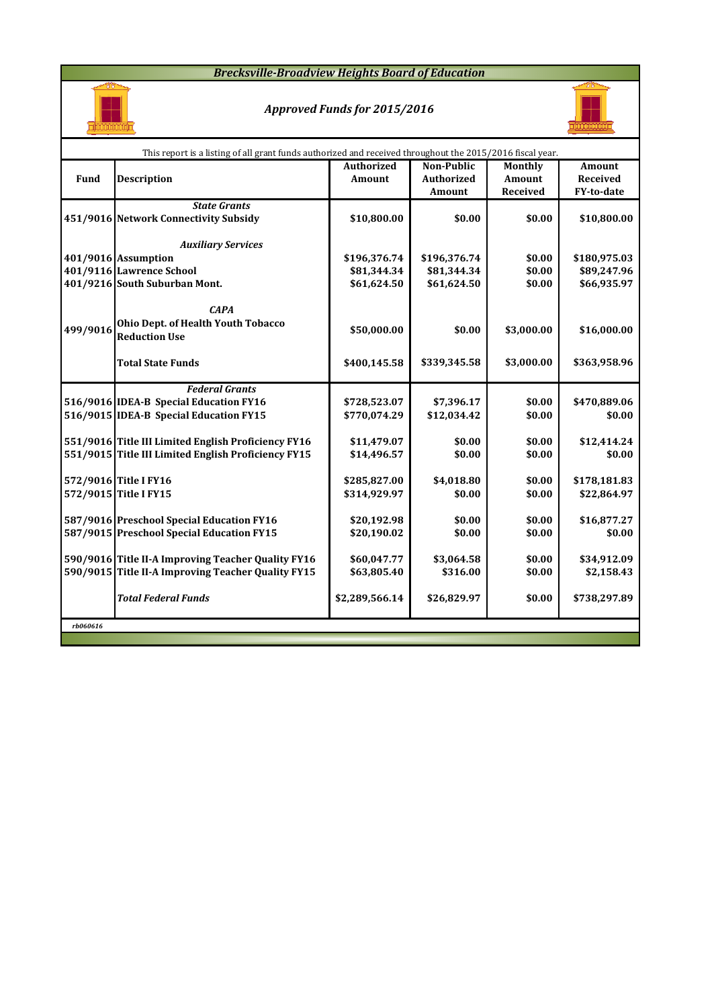### *Brecksville-Broadview Heights Board of Education*



### *Approved Funds for 2015/2016*



|          | This report is a listing of all grant funds authorized and received throughout the 2015/2016 fiscal year. |                              |                             |                    |                               |  |  |  |  |  |
|----------|-----------------------------------------------------------------------------------------------------------|------------------------------|-----------------------------|--------------------|-------------------------------|--|--|--|--|--|
|          |                                                                                                           | <b>Authorized</b>            | Non-Public                  | Monthly            | <b>Amount</b>                 |  |  |  |  |  |
| Fund     | <b>Description</b>                                                                                        | Amount                       | <b>Authorized</b><br>Amount | Amount<br>Received | <b>Received</b><br>FY-to-date |  |  |  |  |  |
|          | <b>State Grants</b>                                                                                       |                              |                             |                    |                               |  |  |  |  |  |
|          | 451/9016 Network Connectivity Subsidy                                                                     | \$10,800.00                  | \$0.00                      | \$0.00             | \$10,800.00                   |  |  |  |  |  |
|          | <b>Auxiliary Services</b>                                                                                 |                              |                             |                    |                               |  |  |  |  |  |
|          | 401/9016 Assumption                                                                                       | \$196,376.74                 | \$196,376.74                | \$0.00             | \$180,975.03                  |  |  |  |  |  |
|          | 401/9116 Lawrence School                                                                                  | \$81,344.34                  | \$81,344.34                 | \$0.00             | \$89,247.96                   |  |  |  |  |  |
|          | 401/9216 South Suburban Mont.                                                                             | \$61,624.50                  | \$61,624.50                 | \$0.00             | \$66,935.97                   |  |  |  |  |  |
|          | <b>CAPA</b><br>Ohio Dept. of Health Youth Tobacco                                                         |                              |                             |                    |                               |  |  |  |  |  |
| 499/9016 | <b>Reduction Use</b>                                                                                      | \$50,000.00                  | \$0.00                      | \$3,000.00         | \$16,000.00                   |  |  |  |  |  |
|          |                                                                                                           |                              |                             |                    |                               |  |  |  |  |  |
|          | <b>Total State Funds</b>                                                                                  | \$400,145.58                 | \$339,345.58                | \$3,000.00         | \$363,958.96                  |  |  |  |  |  |
|          | <b>Federal Grants</b>                                                                                     |                              |                             |                    |                               |  |  |  |  |  |
|          | 516/9016 IDEA-B Special Education FY16                                                                    | \$728,523.07                 | \$7,396.17                  | \$0.00             | \$470,889.06                  |  |  |  |  |  |
|          | 516/9015 IDEA-B Special Education FY15                                                                    | \$770,074.29                 | \$12,034.42                 | \$0.00             | \$0.00                        |  |  |  |  |  |
|          |                                                                                                           |                              |                             |                    |                               |  |  |  |  |  |
|          | 551/9016 Title III Limited English Proficiency FY16                                                       | \$11,479.07                  | \$0.00                      | \$0.00             | \$12,414.24                   |  |  |  |  |  |
|          | 551/9015 Title III Limited English Proficiency FY15                                                       | \$14,496.57                  | \$0.00                      | \$0.00             | \$0.00                        |  |  |  |  |  |
|          |                                                                                                           |                              |                             |                    |                               |  |  |  |  |  |
|          | 572/9016 Title I FY16<br>572/9015 Title I FY15                                                            | \$285,827.00<br>\$314,929.97 | \$4,018.80<br>\$0.00        | \$0.00<br>\$0.00   | \$178,181.83<br>\$22,864.97   |  |  |  |  |  |
|          |                                                                                                           |                              |                             |                    |                               |  |  |  |  |  |
|          | 587/9016 Preschool Special Education FY16                                                                 | \$20,192.98                  | \$0.00                      | \$0.00             | \$16,877.27                   |  |  |  |  |  |
|          | 587/9015 Preschool Special Education FY15                                                                 | \$20,190.02                  | \$0.00                      | \$0.00             | \$0.00                        |  |  |  |  |  |
|          |                                                                                                           |                              |                             |                    |                               |  |  |  |  |  |
|          | 590/9016 Title II-A Improving Teacher Quality FY16                                                        | \$60,047.77                  | \$3,064.58                  | \$0.00             | \$34,912.09                   |  |  |  |  |  |
|          | 590/9015 Title II-A Improving Teacher Quality FY15                                                        | \$63,805.40                  | \$316.00                    | \$0.00             | \$2,158.43                    |  |  |  |  |  |
|          | <b>Total Federal Funds</b>                                                                                | \$2,289,566.14               | \$26,829.97                 | \$0.00             | \$738,297.89                  |  |  |  |  |  |
| rb060616 |                                                                                                           |                              |                             |                    |                               |  |  |  |  |  |
|          |                                                                                                           |                              |                             |                    |                               |  |  |  |  |  |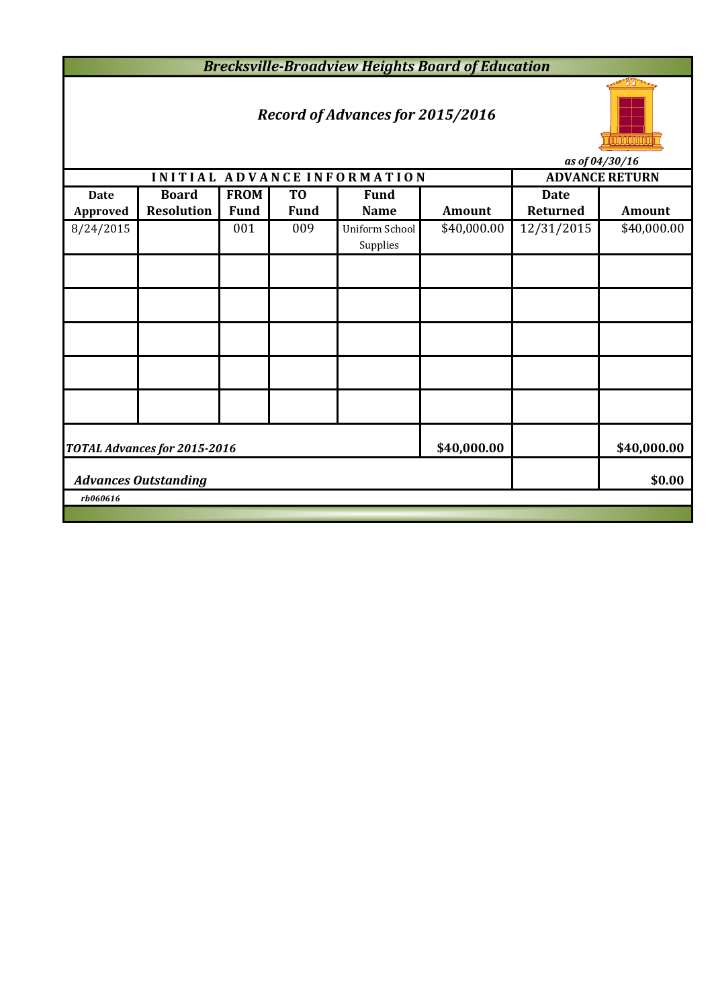*Brecksville-Broadview Heights Board of Education*

# *Record of Advances for 2015/2016*



*as of 04/30/16*

| $(15 \text{ U}) \text{U} + (3 \text{U}) \text{I} \text{U}$        |                             |             |                       |                                   |               |                 |               |  |  |  |
|-------------------------------------------------------------------|-----------------------------|-------------|-----------------------|-----------------------------------|---------------|-----------------|---------------|--|--|--|
|                                                                   | INITIAL ADVANCE INFORMATION |             | <b>ADVANCE RETURN</b> |                                   |               |                 |               |  |  |  |
| <b>Date</b>                                                       | <b>Board</b>                | <b>FROM</b> | T <sub>0</sub>        | <b>Fund</b>                       |               | <b>Date</b>     |               |  |  |  |
| Approved                                                          | <b>Resolution</b>           | <b>Fund</b> | <b>Fund</b>           | <b>Name</b>                       | <b>Amount</b> | <b>Returned</b> | <b>Amount</b> |  |  |  |
| 8/24/2015                                                         |                             | 001         | 009                   | <b>Uniform School</b><br>Supplies | \$40,000.00   | 12/31/2015      | \$40,000.00   |  |  |  |
|                                                                   |                             |             |                       |                                   |               |                 |               |  |  |  |
|                                                                   |                             |             |                       |                                   |               |                 |               |  |  |  |
|                                                                   |                             |             |                       |                                   |               |                 |               |  |  |  |
|                                                                   |                             |             |                       |                                   |               |                 |               |  |  |  |
|                                                                   |                             |             |                       |                                   |               |                 |               |  |  |  |
| \$40,000.00<br>\$40,000.00<br><b>TOTAL Advances for 2015-2016</b> |                             |             |                       |                                   |               |                 |               |  |  |  |
| \$0.00<br><b>Advances Outstanding</b>                             |                             |             |                       |                                   |               |                 |               |  |  |  |
| rb060616                                                          |                             |             |                       |                                   |               |                 |               |  |  |  |
|                                                                   |                             |             |                       |                                   |               |                 |               |  |  |  |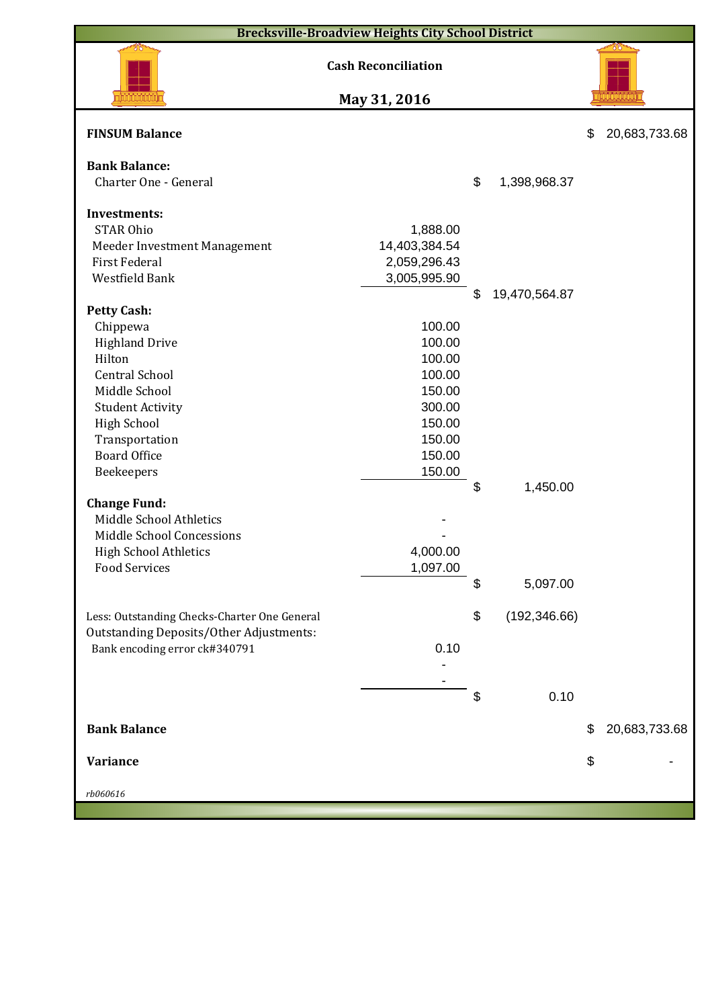|                                                | <b>Brecksville-Broadview Heights City School District</b> |    |               |                     |
|------------------------------------------------|-----------------------------------------------------------|----|---------------|---------------------|
|                                                | <b>Cash Reconciliation</b>                                |    |               |                     |
|                                                | May 31, 2016                                              |    |               |                     |
| <b>FINSUM Balance</b>                          |                                                           |    |               | \$<br>20,683,733.68 |
| <b>Bank Balance:</b><br>Charter One - General  |                                                           | \$ |               |                     |
|                                                |                                                           |    | 1,398,968.37  |                     |
| <b>Investments:</b>                            |                                                           |    |               |                     |
| <b>STAR Ohio</b>                               | 1,888.00                                                  |    |               |                     |
| Meeder Investment Management                   | 14,403,384.54                                             |    |               |                     |
| <b>First Federal</b>                           | 2,059,296.43                                              |    |               |                     |
| Westfield Bank                                 | 3,005,995.90                                              |    |               |                     |
|                                                |                                                           | \$ | 19,470,564.87 |                     |
| <b>Petty Cash:</b>                             |                                                           |    |               |                     |
| Chippewa                                       | 100.00                                                    |    |               |                     |
| <b>Highland Drive</b>                          | 100.00                                                    |    |               |                     |
| Hilton                                         | 100.00                                                    |    |               |                     |
| <b>Central School</b>                          | 100.00                                                    |    |               |                     |
| Middle School                                  | 150.00                                                    |    |               |                     |
| <b>Student Activity</b>                        | 300.00                                                    |    |               |                     |
| <b>High School</b>                             | 150.00                                                    |    |               |                     |
| Transportation                                 | 150.00                                                    |    |               |                     |
| <b>Board Office</b>                            | 150.00                                                    |    |               |                     |
| Beekeepers                                     | 150.00                                                    |    |               |                     |
|                                                |                                                           | \$ | 1,450.00      |                     |
| <b>Change Fund:</b>                            |                                                           |    |               |                     |
| Middle School Athletics                        |                                                           |    |               |                     |
| Middle School Concessions                      |                                                           |    |               |                     |
| <b>High School Athletics</b>                   | 4,000.00                                                  |    |               |                     |
| <b>Food Services</b>                           | 1,097.00                                                  |    |               |                     |
|                                                |                                                           | S  | 5,097.00      |                     |
|                                                |                                                           |    |               |                     |
|                                                |                                                           | \$ | (192, 346.66) |                     |
| Less: Outstanding Checks-Charter One General   |                                                           |    |               |                     |
| <b>Outstanding Deposits/Other Adjustments:</b> | 0.10                                                      |    |               |                     |
| Bank encoding error ck#340791                  |                                                           |    |               |                     |
|                                                |                                                           |    |               |                     |
|                                                |                                                           | \$ |               |                     |
|                                                |                                                           |    | 0.10          |                     |
| <b>Bank Balance</b>                            |                                                           |    |               | \$<br>20,683,733.68 |
|                                                |                                                           |    |               |                     |
| Variance                                       |                                                           |    |               | \$                  |
|                                                |                                                           |    |               |                     |
| rb060616                                       |                                                           |    |               |                     |
|                                                |                                                           |    |               |                     |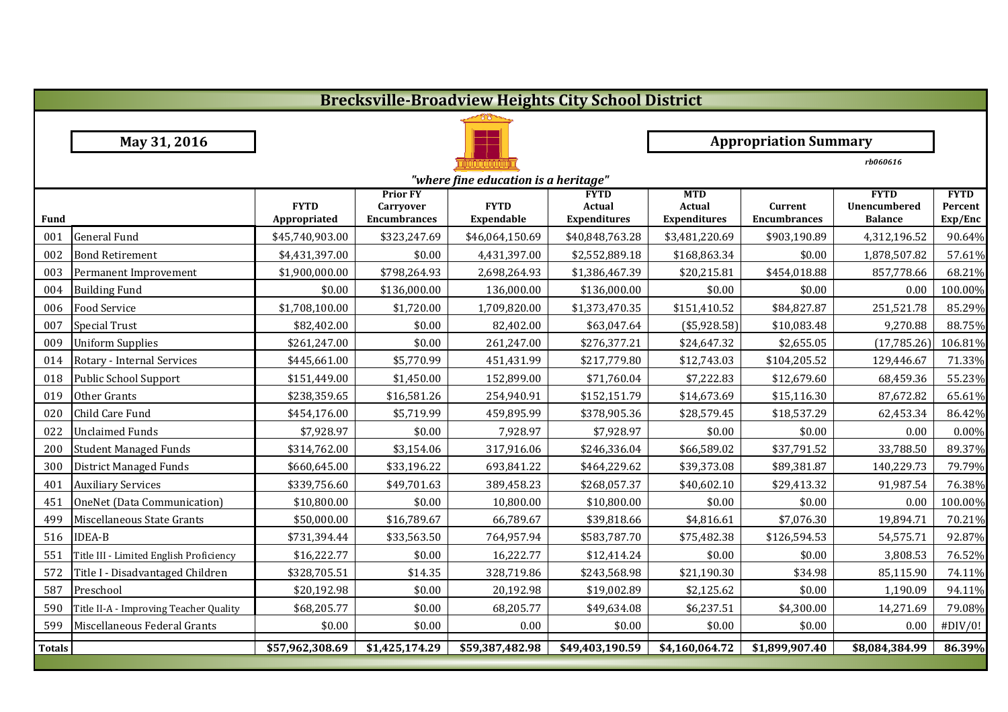|               | <b>Brecksville-Broadview Heights City School District</b> |                             |                                                            |                                  |                                                     |                                             |                                |                                               |                                   |  |  |
|---------------|-----------------------------------------------------------|-----------------------------|------------------------------------------------------------|----------------------------------|-----------------------------------------------------|---------------------------------------------|--------------------------------|-----------------------------------------------|-----------------------------------|--|--|
|               |                                                           |                             |                                                            |                                  |                                                     |                                             |                                |                                               |                                   |  |  |
|               | May 31, 2016                                              |                             |                                                            |                                  |                                                     |                                             | <b>Appropriation Summary</b>   |                                               |                                   |  |  |
|               |                                                           |                             |                                                            |                                  |                                                     |                                             |                                | rb060616                                      |                                   |  |  |
|               | "where fine education is a heritage"                      |                             |                                                            |                                  |                                                     |                                             |                                |                                               |                                   |  |  |
| Fund          |                                                           | <b>FYTD</b><br>Appropriated | <b>Prior FY</b><br><b>Carryover</b><br><b>Encumbrances</b> | <b>FYTD</b><br><b>Expendable</b> | <b>FYTD</b><br><b>Actual</b><br><b>Expenditures</b> | <b>MTD</b><br>Actual<br><b>Expenditures</b> | Current<br><b>Encumbrances</b> | <b>FYTD</b><br>Unencumbered<br><b>Balance</b> | <b>FYTD</b><br>Percent<br>Exp/Enc |  |  |
| 001           | <b>General Fund</b>                                       | \$45,740,903.00             | \$323,247.69                                               | \$46,064,150.69                  | \$40,848,763.28                                     | \$3,481,220.69                              | \$903,190.89                   | 4,312,196.52                                  | 90.64%                            |  |  |
| 002           | <b>Bond Retirement</b>                                    | \$4,431,397.00              | \$0.00                                                     | 4,431,397.00                     | \$2,552,889.18                                      | \$168,863.34                                | \$0.00                         | 1,878,507.82                                  | 57.61%                            |  |  |
| 003           | Permanent Improvement                                     | \$1,900,000.00              | \$798,264.93                                               | 2,698,264.93                     | \$1,386,467.39                                      | \$20,215.81                                 | \$454,018.88                   | 857,778.66                                    | 68.21%                            |  |  |
| 004           | <b>Building Fund</b>                                      | \$0.00                      | \$136,000.00                                               | 136,000.00                       | \$136,000.00                                        | \$0.00                                      | \$0.00                         | 0.00                                          | 100.00%                           |  |  |
| 006           | <b>Food Service</b>                                       | \$1,708,100.00              | \$1,720.00                                                 | 1,709,820.00                     | \$1,373,470.35                                      | \$151,410.52                                | \$84,827.87                    | 251,521.78                                    | 85.29%                            |  |  |
| 007           | <b>Special Trust</b>                                      | \$82,402.00                 | \$0.00                                                     | 82,402.00                        | \$63,047.64                                         | $(*5,928.58)$                               | \$10,083.48                    | 9,270.88                                      | 88.75%                            |  |  |
| 009           | <b>Uniform Supplies</b>                                   | \$261,247.00                | \$0.00                                                     | 261,247.00                       | \$276,377.21                                        | \$24,647.32                                 | \$2,655.05                     | (17,785.26)                                   | 106.81%                           |  |  |
| 014           | Rotary - Internal Services                                | \$445,661.00                | \$5,770.99                                                 | 451,431.99                       | \$217,779.80                                        | \$12,743.03                                 | \$104,205.52                   | 129,446.67                                    | 71.33%                            |  |  |
| 018           | Public School Support                                     | \$151,449.00                | \$1,450.00                                                 | 152,899.00                       | \$71,760.04                                         | \$7,222.83                                  | \$12,679.60                    | 68,459.36                                     | 55.23%                            |  |  |
| 019           | Other Grants                                              | \$238,359.65                | \$16,581.26                                                | 254,940.91                       | \$152,151.79                                        | \$14,673.69                                 | \$15,116.30                    | 87,672.82                                     | 65.61%                            |  |  |
| 020           | Child Care Fund                                           | \$454,176.00                | \$5,719.99                                                 | 459,895.99                       | \$378,905.36                                        | \$28,579.45                                 | \$18,537.29                    | 62,453.34                                     | 86.42%                            |  |  |
| 022           | <b>Unclaimed Funds</b>                                    | \$7,928.97                  | \$0.00                                                     | 7,928.97                         | \$7,928.97                                          | \$0.00                                      | \$0.00                         | 0.00                                          | 0.00%                             |  |  |
| 200           | <b>Student Managed Funds</b>                              | \$314,762.00                | \$3,154.06                                                 | 317,916.06                       | \$246,336.04                                        | \$66,589.02                                 | \$37,791.52                    | 33,788.50                                     | 89.37%                            |  |  |
| 300           | <b>District Managed Funds</b>                             | \$660,645.00                | \$33,196.22                                                | 693,841.22                       | \$464,229.62                                        | \$39,373.08                                 | \$89,381.87                    | 140,229.73                                    | 79.79%                            |  |  |
| 401           | <b>Auxiliary Services</b>                                 | \$339,756.60                | \$49,701.63                                                | 389,458.23                       | \$268,057.37                                        | \$40,602.10                                 | \$29,413.32                    | 91,987.54                                     | 76.38%                            |  |  |
| 451           | OneNet (Data Communication)                               | \$10,800.00                 | \$0.00                                                     | 10,800.00                        | \$10,800.00                                         | \$0.00                                      | \$0.00                         | 0.00                                          | 100.00%                           |  |  |
| 499           | Miscellaneous State Grants                                | \$50,000.00                 | \$16,789.67                                                | 66,789.67                        | \$39,818.66                                         | \$4,816.61                                  | \$7,076.30                     | 19,894.71                                     | 70.21%                            |  |  |
| 516           | <b>IDEA-B</b>                                             | \$731,394.44                | \$33,563.50                                                | 764,957.94                       | \$583,787.70                                        | \$75,482.38                                 | \$126,594.53                   | 54,575.71                                     | 92.87%                            |  |  |
| 551           | Title III - Limited English Proficiency                   | \$16,222.77                 | \$0.00                                                     | 16,222.77                        | \$12,414.24                                         | \$0.00                                      | \$0.00                         | 3,808.53                                      | 76.52%                            |  |  |
| 572           | Title I - Disadvantaged Children                          | \$328,705.51                | \$14.35                                                    | 328,719.86                       | \$243,568.98                                        | \$21,190.30                                 | \$34.98                        | 85,115.90                                     | 74.11%                            |  |  |
| 587           | Preschool                                                 | \$20,192.98                 | \$0.00                                                     | 20,192.98                        | \$19,002.89                                         | \$2,125.62                                  | \$0.00                         | 1,190.09                                      | 94.11%                            |  |  |
| 590           | Title II-A - Improving Teacher Quality                    | \$68,205.77                 | \$0.00                                                     | 68,205.77                        | \$49,634.08                                         | \$6,237.51                                  | \$4,300.00                     | 14,271.69                                     | 79.08%                            |  |  |
| 599           | Miscellaneous Federal Grants                              | \$0.00                      | \$0.00                                                     | 0.00                             | \$0.00                                              | \$0.00                                      | \$0.00                         | 0.00                                          | #DIV/0!                           |  |  |
| <b>Totals</b> |                                                           | \$57,962,308.69             | \$1,425,174.29                                             | \$59,387,482.98                  | \$49,403,190.59                                     | \$4,160,064.72                              | \$1,899,907.40                 | \$8,084,384.99                                | 86.39%                            |  |  |